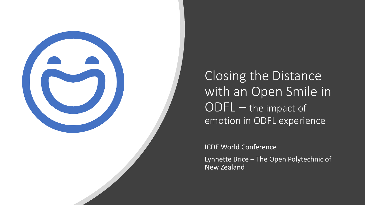

Closing the Distance with an Open Smile in ODFL – the impact of emotion in ODFL experience

ICDE World Conference

Lynnette Brice – The Open Polytechnic of New Zealand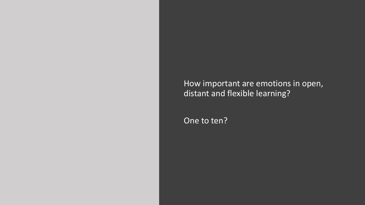How important are emotions in open, distant and flexible learning?

One to ten?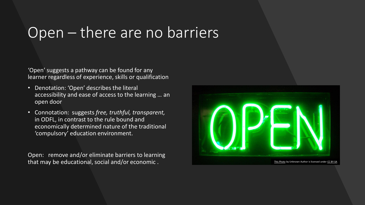## Open – there are no barriers

'Open' suggests a pathway can be found for any learner regardless of experience, skills or qualification

- Denotation: 'Open' describes the literal accessibility and ease of access to the learning … an open door
- Connotation: suggests *free, truthful, transparent,* in ODFL, in contrast to the rule bound and economically determined nature of the traditional 'compulsory' education environment.

Open: remove and/or eliminate barriers to learning

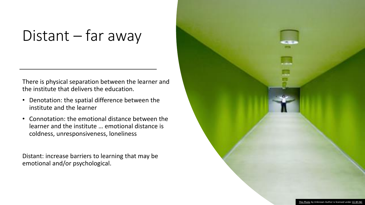## Distant – far away

There is physical separation between the learner and the institute that delivers the education.

- Denotation: the spatial difference between the institute and the learner
- Connotation: the emotional distance between the learner and the institute … emotional distance is coldness, unresponsiveness, loneliness

Distant: increase barriers to learning that may be emotional and/or psychological.

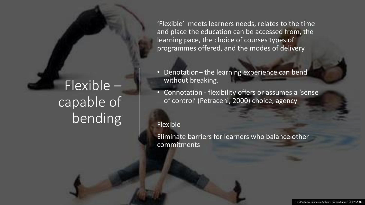Flexible – capable of bending

'Flexible' meets learners needs, relates to the time and place the education can be accessed from, the learning pace, the choice of courses types of programmes offered, and the modes of delivery

- Denotation– the learning experience can bend without breaking.
- Connotation flexibility offers or assumes a 'sense of control' (Petracehi, 2000) choice, agency

#### Flexible

Eliminate barriers for learners who balance other commitments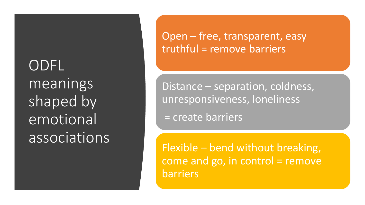ODFL meanings shaped by emotional associations Open – free, transparent, easy truthful = remove barriers

Distance – separation, coldness, unresponsiveness, loneliness = create barriers

Flexible – bend without breaking, come and go, in control  $=$  remove barriers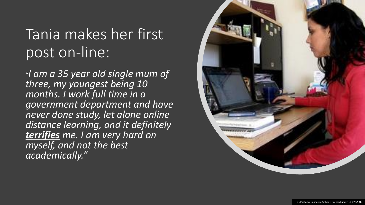## Tania makes her first post on-line:

"*I am a 35 year old single mum of three, my youngest being 10 months. I work full time in a government department and have never done study, let alone online distance learning, and it definitely terrifies me. I am very hard on myself, and not the best academically."* 

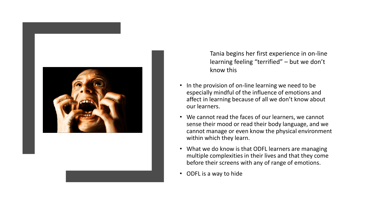

Tania begins her first experience in on-line learning feeling "terrified" – but we don't know this

- In the provision of on-line learning we need to be especially mindful of the influence of emotions and affect in learning because of all we don't know about our learners.
- We cannot read the faces of our learners, we cannot sense their mood or read their body language, and we cannot manage or even know the physical environment within which they learn.
- What we do know is that ODFL learners are managing multiple complexities in their lives and that they come before their screens with any of range of emotions.
- ODFL is a way to hide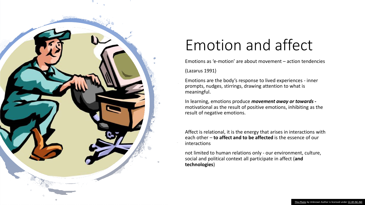

## Emotion and affect

Emotions as 'e-motion' are about movement – action tendencies

(Lazarus 1991)

Emotions are the body's response to lived experiences - inner prompts, nudges, stirrings, drawing attention to what is meaningful.

In learning, emotions produce *movement away or towards*  motivational as the result of positive emotions, inhibiting as the result of negative emotions.

Affect is relational, it is the energy that arises in interactions with each other – **to affect and to be affected** is the essence of our interactions

not limited to human relations only - our environment, culture, social and political context all participate in affect (**and technologies**)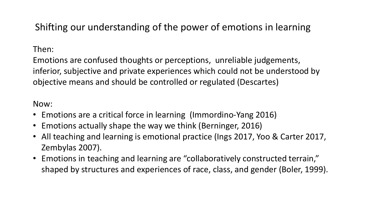### Shifting our understanding of the power of emotions in learning

#### Then:

Emotions are confused thoughts or perceptions, unreliable judgements, inferior, subjective and private experiences which could not be understood by objective means and should be controlled or regulated (Descartes)

#### Now:

- Emotions are a critical force in learning (Immordino-Yang 2016)
- Emotions actually shape the way we think (Berninger, 2016)
- All teaching and learning is emotional practice (Ings 2017, Yoo & Carter 2017, Zembylas 2007).
- Emotions in teaching and learning are "collaboratively constructed terrain," shaped by structures and experiences of race, class, and gender (Boler, 1999).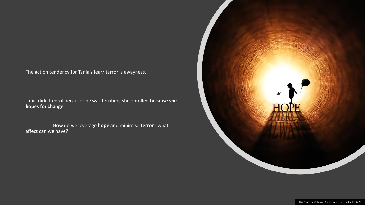The action tendency for Tania's fear/ terror is awayness.

Tania didn't enrol because she was terrified, she enrolled **because she hopes for change**

How do we leverage **hope** and minimise **terror** - what affect can we have?

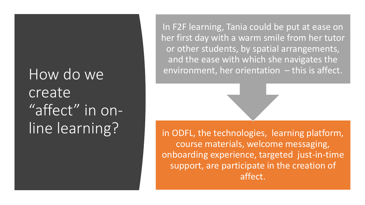# How do we create "affect" in on-

In F2F learning, Tania could be put at ease on her first day with a warm smile from her tutor or other students, by spatial arrangements, and the ease with which she navigates the environment, her orientation – this is affect.

line learning? and in oper untertained platform, course materials, welcome messaging, onboarding experience, targeted just-in-time support, are participate in the creation of affect.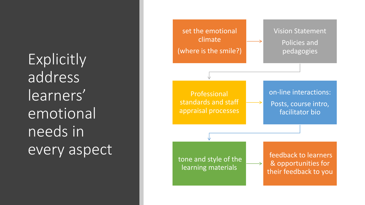Explicitly address learners' emotional needs in every aspect

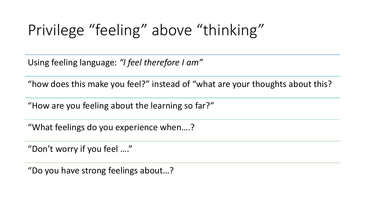## Privilege "feeling" above "thinking"

Using feeling language: *"I feel therefore I am"*

"how does this make you feel?" instead of "what are your thoughts about this?

"How are you feeling about the learning so far?"

"What feelings do you experience when….?

"Don't worry if you feel …."

"Do you have strong feelings about…?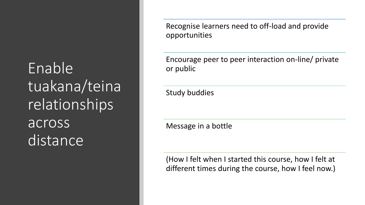Enable tuakana/teina relationships across distance<sup>'</sup>

Recognise learners need to off-load and provide opportunities

Encourage peer to peer interaction on-line/ private or public

Study buddies

Message in a bottle

(How I felt when I started this course, how I felt at different times during the course, how I feel now.)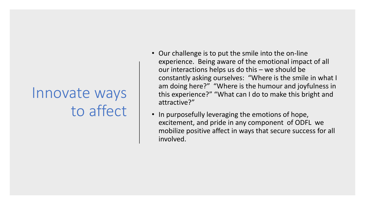## Innovate ways to affect

- Our challenge is to put the smile into the on-line experience. Being aware of the emotional impact of all our interactions helps us do this – we should be constantly asking ourselves: "Where is the smile in what I am doing here?" "Where is the humour and joyfulness in this experience?" "What can I do to make this bright and attractive?"
- In purposefully leveraging the emotions of hope, excitement, and pride in any component of ODFL we mobilize positive affect in ways that secure success for all involved.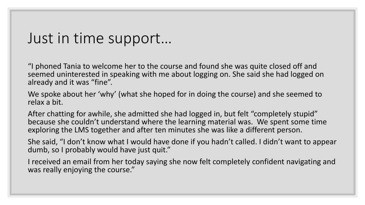## Just in time support…

"I phoned Tania to welcome her to the course and found she was quite closed off and seemed uninterested in speaking with me about logging on. She said she had logged on already and it was "fine".

We spoke about her 'why' (what she hoped for in doing the course) and she seemed to relax a bit.

After chatting for awhile, she admitted she had logged in, but felt "completely stupid" because she couldn't understand where the learning material was. We spent some time exploring the LMS together and after ten minutes she was like a different person.

She said, "I don't know what I would have done if you hadn't called. I didn't want to appear dumb, so I probably would have just quit."

I received an email from her today saying she now felt completely confident navigating and was really enjoying the course."